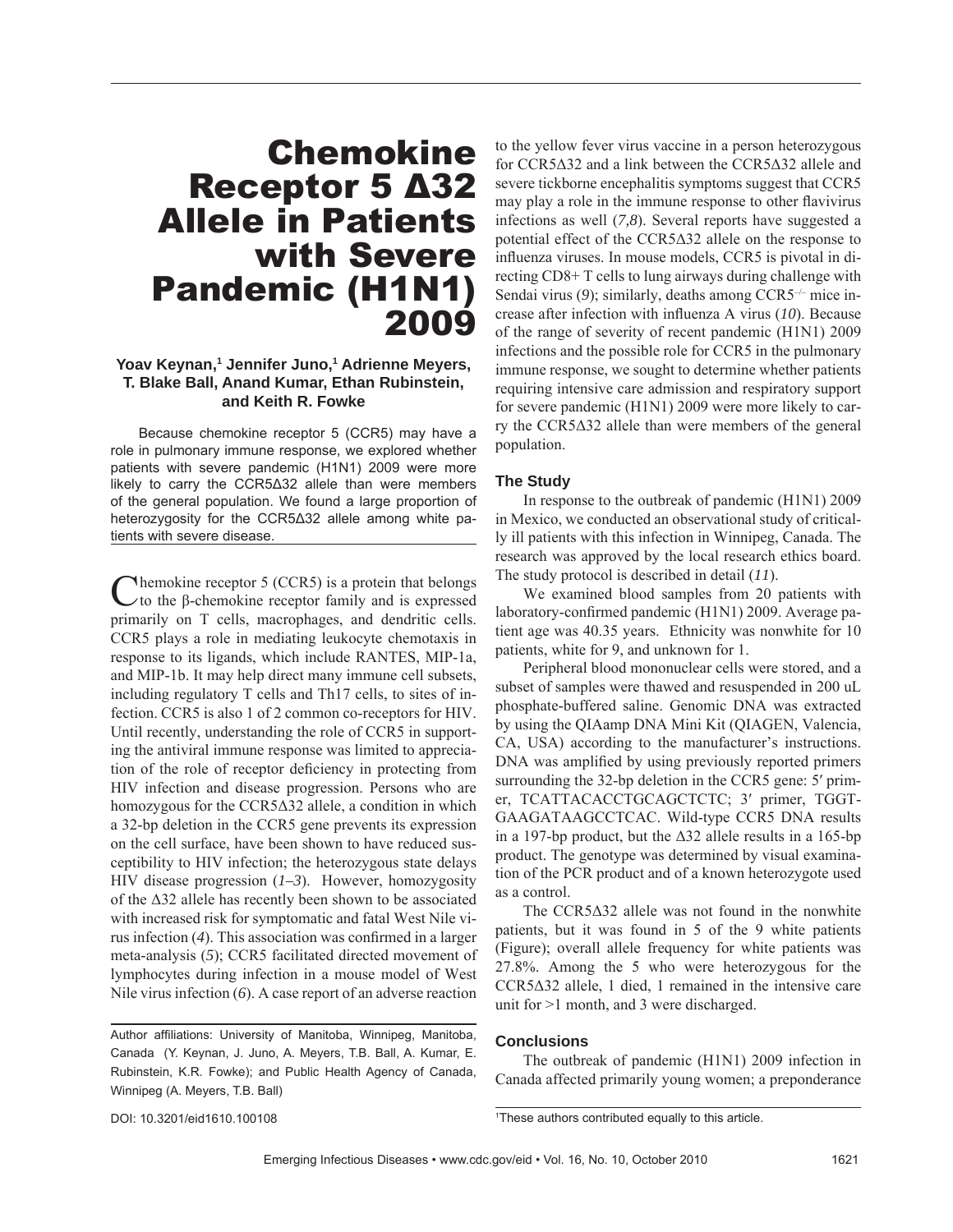# Chemokine Receptor 5 Δ32 Allele in Patients with Severe Pandemic (H1N1) 2009

# Yoav Keynan,<sup>1</sup> Jennifer Juno,<sup>1</sup> Adrienne Meyers, **T. Blake Ball, Anand Kumar, Ethan Rubinstein, and Keith R. Fowke**

Because chemokine receptor 5 (CCR5) may have a role in pulmonary immune response, we explored whether patients with severe pandemic (H1N1) 2009 were more likely to carry the CCR5Δ32 allele than were members of the general population. We found a large proportion of heterozygosity for the CCR5Δ32 allele among white patients with severe disease.

 $N$ hemokine receptor 5 (CCR5) is a protein that belongs  $\vee$  to the β-chemokine receptor family and is expressed primarily on T cells, macrophages, and dendritic cells. CCR5 plays a role in mediating leukocyte chemotaxis in response to its ligands, which include RANTES, MIP-1a, and MIP-1b. It may help direct many immune cell subsets, including regulatory T cells and Th17 cells, to sites of infection. CCR5 is also 1 of 2 common co-receptors for HIV. Until recently, understanding the role of CCR5 in supporting the antiviral immune response was limited to appreciation of the role of receptor deficiency in protecting from HIV infection and disease progression. Persons who are homozygous for the CCR5Δ32 allele, a condition in which a 32-bp deletion in the CCR5 gene prevents its expression on the cell surface, have been shown to have reduced susceptibility to HIV infection; the heterozygous state delays HIV disease progression (*1–3*). However, homozygosity of the Δ32 allele has recently been shown to be associated with increased risk for symptomatic and fatal West Nile virus infection  $(4)$ . This association was confirmed in a larger meta-analysis (*5*); CCR5 facilitated directed movement of lymphocytes during infection in a mouse model of West Nile virus infection (*6*). A case report of an adverse reaction

Author affiliations: University of Manitoba, Winnipeg, Manitoba, Canada (Y. Keynan, J. Juno, A. Meyers, T.B. Ball, A. Kumar, E. Rubinstein, K.R. Fowke); and Public Health Agency of Canada, Winnipeg (A. Meyers, T.B. Ball)

to the yellow fever virus vaccine in a person heterozygous for CCR5Δ32 and a link between the CCR5Δ32 allele and severe tickborne encephalitis symptoms suggest that CCR5 may play a role in the immune response to other flavivirus infections as well (*7,8*). Several reports have suggested a potential effect of the CCR5Δ32 allele on the response to influenza viruses. In mouse models, CCR5 is pivotal in directing CD8+ T cells to lung airways during challenge with Sendai virus (9); similarly, deaths among CCR5<sup>-/-</sup> mice increase after infection with influenza A virus (10). Because of the range of severity of recent pandemic (H1N1) 2009 infections and the possible role for CCR5 in the pulmonary immune response, we sought to determine whether patients requiring intensive care admission and respiratory support for severe pandemic (H1N1) 2009 were more likely to carry the CCR5Δ32 allele than were members of the general population.

# **The Study**

In response to the outbreak of pandemic (H1N1) 2009 in Mexico, we conducted an observational study of critically ill patients with this infection in Winnipeg, Canada. The research was approved by the local research ethics board. The study protocol is described in detail (*11*).

We examined blood samples from 20 patients with laboratory-confirmed pandemic (H1N1) 2009. Average patient age was 40.35 years. Ethnicity was nonwhite for 10 patients, white for 9, and unknown for 1.

Peripheral blood mononuclear cells were stored, and a subset of samples were thawed and resuspended in 200 uL phosphate-buffered saline. Genomic DNA was extracted by using the QIAamp DNA Mini Kit (QIAGEN, Valencia, CA, USA) according to the manufacturer's instructions. DNA was amplified by using previously reported primers surrounding the 32-bp deletion in the CCR5 gene: 5' primer, TCATTACACCTGCAGCTCTC; 3′ primer, TGGT-GAAGATAAGCCTCAC. Wild-type CCR5 DNA results in a 197-bp product, but the  $\Delta 32$  allele results in a 165-bp product. The genotype was determined by visual examination of the PCR product and of a known heterozygote used as a control.

The CCR5Δ32 allele was not found in the nonwhite patients, but it was found in 5 of the 9 white patients (Figure); overall allele frequency for white patients was 27.8%. Among the 5 who were heterozygous for the CCR5Δ32 allele, 1 died, 1 remained in the intensive care unit for >1 month, and 3 were discharged.

### **Conclusions**

The outbreak of pandemic (H1N1) 2009 infection in Canada affected primarily young women; a preponderance

DOI: 10.3201/eid1610.100108

1 These authors contributed equally to this article.